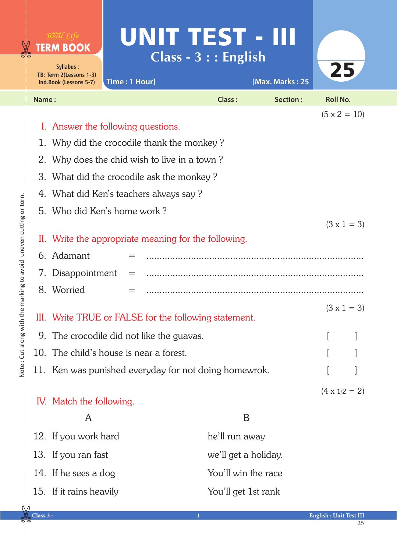|       | $R$ e al Life<br><b>TERM BOOK</b><br>Syllabus:                                                  |                                           | UNIT TEST - III<br>$Class - 3 :: English$             |                 | 25                   |  |
|-------|-------------------------------------------------------------------------------------------------|-------------------------------------------|-------------------------------------------------------|-----------------|----------------------|--|
|       | TB: Term 2(Lessons 1-3)<br>Ind.Book (Lessons 5-7)                                               | Time: 1 Hour]                             |                                                       | [Max. Marks: 25 |                      |  |
| Name: |                                                                                                 |                                           | <b>Class:</b>                                         | Section:        | <b>Roll No.</b>      |  |
|       |                                                                                                 | I. Answer the following questions.        |                                                       |                 | $(5 \times 2 = 10)$  |  |
|       | 1. Why did the crocodile thank the monkey?                                                      |                                           |                                                       |                 |                      |  |
| 2.    | Why does the chid wish to live in a town?                                                       |                                           |                                                       |                 |                      |  |
| 3.    | What did the crocodile ask the monkey?                                                          |                                           |                                                       |                 |                      |  |
| 4.    | What did Ken's teachers always say?                                                             |                                           |                                                       |                 |                      |  |
|       | 5. Who did Ken's home work?                                                                     |                                           |                                                       |                 |                      |  |
|       | $(3 \times 1 = 3)$<br>II. Write the appropriate meaning for the following.<br>6. Adamant<br>$=$ |                                           |                                                       |                 |                      |  |
| 7.    | Disappointment<br>$=$                                                                           |                                           |                                                       |                 |                      |  |
|       | 8. Worried                                                                                      | $=$                                       |                                                       |                 |                      |  |
|       | III. Write TRUE or FALSE for the following statement.                                           |                                           |                                                       |                 | $(3 \times 1 = 3)$   |  |
|       |                                                                                                 | 9. The crocodile did not like the guavas. |                                                       |                 |                      |  |
|       |                                                                                                 | 10. The child's house is near a forest.   |                                                       |                 |                      |  |
|       |                                                                                                 |                                           | 11. Ken was punished everyday for not doing homewrok. |                 |                      |  |
|       | IV. Match the following.                                                                        |                                           |                                                       |                 | $(4 \times 1/2 = 2)$ |  |
|       | A                                                                                               |                                           | B                                                     |                 |                      |  |
|       | 12. If you work hard                                                                            |                                           | he'll run away                                        |                 |                      |  |
|       | 13. If you ran fast                                                                             |                                           | we'll get a holiday.                                  |                 |                      |  |
|       | 14. If he sees a dog                                                                            |                                           | You'll win the race                                   |                 |                      |  |
|       | 15. If it rains heavily                                                                         |                                           | You'll get 1st rank                                   |                 |                      |  |
|       |                                                                                                 |                                           |                                                       |                 |                      |  |